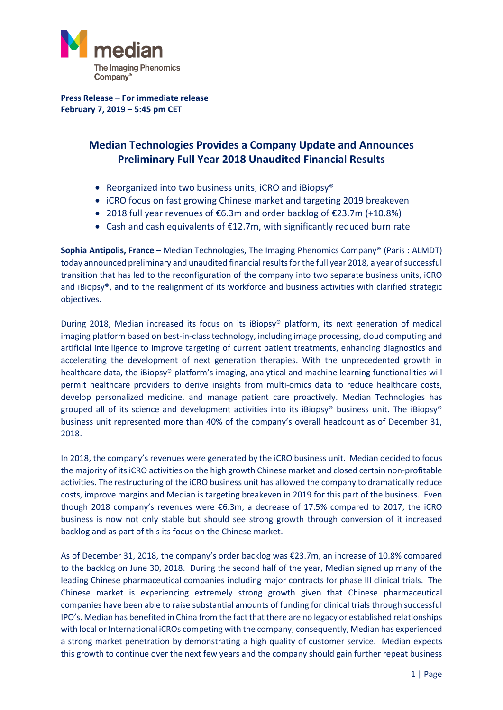

**Press Release – For immediate release February 7, 2019 – 5:45 pm CET**

## **Median Technologies Provides a Company Update and Announces Preliminary Full Year 2018 Unaudited Financial Results**

- Reorganized into two business units, iCRO and iBiopsy<sup>®</sup>
- iCRO focus on fast growing Chinese market and targeting 2019 breakeven
- 2018 full year revenues of €6.3m and order backlog of €23.7m (+10.8%)
- Cash and cash equivalents of €12.7m, with significantly reduced burn rate

**Sophia Antipolis, France –** Median Technologies, The Imaging Phenomics Company® (Paris : ALMDT) today announced preliminary and unaudited financial results for the full year 2018, a year of successful transition that has led to the reconfiguration of the company into two separate business units, iCRO and iBiopsy®, and to the realignment of its workforce and business activities with clarified strategic objectives.

During 2018, Median increased its focus on its iBiopsy® platform, its next generation of medical imaging platform based on best-in-class technology, including image processing, cloud computing and artificial intelligence to improve targeting of current patient treatments, enhancing diagnostics and accelerating the development of next generation therapies. With the unprecedented growth in healthcare data, the iBiopsy® platform's imaging, analytical and machine learning functionalities will permit healthcare providers to derive insights from multi-omics data to reduce healthcare costs, develop personalized medicine, and manage patient care proactively. Median Technologies has grouped all of its science and development activities into its iBiopsy® business unit. The iBiopsy® business unit represented more than 40% of the company's overall headcount as of December 31, 2018.

In 2018, the company's revenues were generated by the iCRO business unit. Median decided to focus the majority of its iCRO activities on the high growth Chinese market and closed certain non-profitable activities. The restructuring of the iCRO business unit has allowed the company to dramatically reduce costs, improve margins and Median is targeting breakeven in 2019 for this part of the business. Even though 2018 company's revenues were €6.3m, a decrease of 17.5% compared to 2017, the iCRO business is now not only stable but should see strong growth through conversion of it increased backlog and as part of this its focus on the Chinese market.

As of December 31, 2018, the company's order backlog was €23.7m, an increase of 10.8% compared to the backlog on June 30, 2018. During the second half of the year, Median signed up many of the leading Chinese pharmaceutical companies including major contracts for phase III clinical trials. The Chinese market is experiencing extremely strong growth given that Chinese pharmaceutical companies have been able to raise substantial amounts of funding for clinical trials through successful IPO's. Median has benefited in China from the fact that there are no legacy or established relationships with local or International iCROs competing with the company; consequently, Median has experienced a strong market penetration by demonstrating a high quality of customer service. Median expects this growth to continue over the next few years and the company should gain further repeat business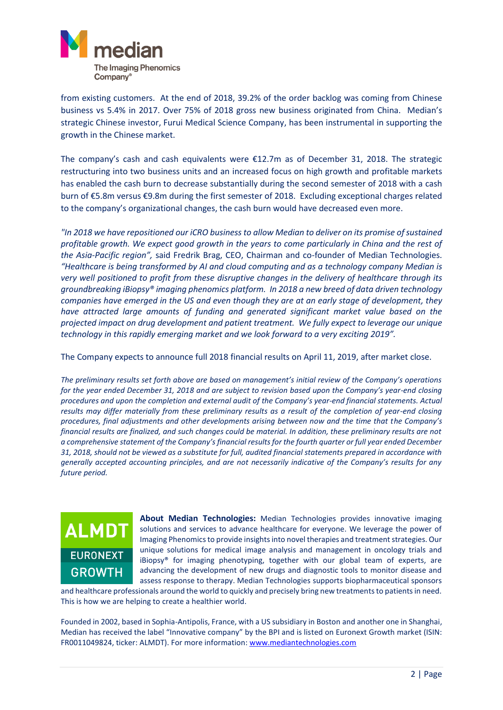

from existing customers. At the end of 2018, 39.2% of the order backlog was coming from Chinese business vs 5.4% in 2017. Over 75% of 2018 gross new business originated from China. Median's strategic Chinese investor, Furui Medical Science Company, has been instrumental in supporting the growth in the Chinese market.

The company's cash and cash equivalents were €12.7m as of December 31, 2018. The strategic restructuring into two business units and an increased focus on high growth and profitable markets has enabled the cash burn to decrease substantially during the second semester of 2018 with a cash burn of €5.8m versus €9.8m during the first semester of 2018. Excluding exceptional charges related to the company's organizational changes, the cash burn would have decreased even more.

*"In 2018 we have repositioned our iCRO business to allow Median to deliver on its promise of sustained profitable growth. We expect good growth in the years to come particularly in China and the rest of the Asia-Pacific region",* said Fredrik Brag, CEO, Chairman and co-founder of Median Technologies. *"Healthcare is being transformed by AI and cloud computing and as a technology company Median is very well positioned to profit from these disruptive changes in the delivery of healthcare through its groundbreaking iBiopsy® imaging phenomics platform. In 2018 a new breed of data driven technology companies have emerged in the US and even though they are at an early stage of development, they have attracted large amounts of funding and generated significant market value based on the projected impact on drug development and patient treatment. We fully expect to leverage our unique technology in this rapidly emerging market and we look forward to a very exciting 2019".*

The Company expects to announce full 2018 financial results on April 11, 2019, after market close.

*The preliminary results set forth above are based on management's initial review of the Company's operations for the year ended December 31, 2018 and are subject to revision based upon the Company's year-end closing procedures and upon the completion and external audit of the Company's year-end financial statements. Actual results may differ materially from these preliminary results as a result of the completion of year-end closing procedures, final adjustments and other developments arising between now and the time that the Company's financial results are finalized, and such changes could be material. In addition, these preliminary results are not a comprehensive statement of the Company's financial results for the fourth quarter or full year ended December 31, 2018, should not be viewed as a substitute for full, audited financial statements prepared in accordance with generally accepted accounting principles, and are not necessarily indicative of the Company's results for any future period.*



**About Median Technologies:** Median Technologies provides innovative imaging solutions and services to advance healthcare for everyone. We leverage the power of Imaging Phenomics to provide insights into novel therapies and treatment strategies. Our unique solutions for medical image analysis and management in oncology trials and iBiopsy® for imaging phenotyping, together with our global team of experts, are advancing the development of new drugs and diagnostic tools to monitor disease and assess response to therapy. Median Technologies supports biopharmaceutical sponsors

and healthcare professionals around the world to quickly and precisely bring new treatments to patients in need. This is how we are helping to create a healthier world.

Founded in 2002, based in Sophia-Antipolis, France, with a US subsidiary in Boston and another one in Shanghai, Median has received the label "Innovative company" by the BPI and is listed on Euronext Growth market (ISIN: FR0011049824, ticker: ALMDT). For more information[: www.mediantechnologies.com](http://www.mediantechnologies.com/)